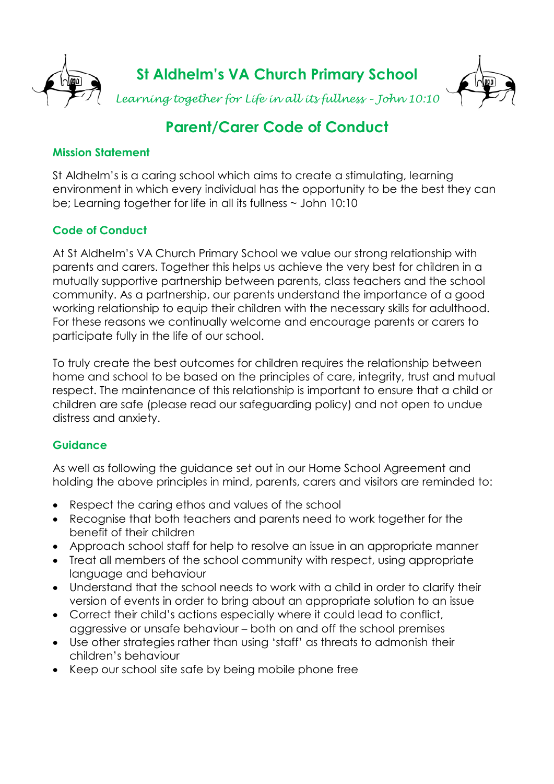

# **Parent/Carer Code of Conduct**

### **Mission Statement**

St Aldhelm's is a caring school which aims to create a stimulating, learning environment in which every individual has the opportunity to be the best they can be; Learning together for life in all its fullness ~ John 10:10

# **Code of Conduct**

At St Aldhelm's VA Church Primary School we value our strong relationship with parents and carers. Together this helps us achieve the very best for children in a mutually supportive partnership between parents, class teachers and the school community. As a partnership, our parents understand the importance of a good working relationship to equip their children with the necessary skills for adulthood. For these reasons we continually welcome and encourage parents or carers to participate fully in the life of our school.

To truly create the best outcomes for children requires the relationship between home and school to be based on the principles of care, integrity, trust and mutual respect. The maintenance of this relationship is important to ensure that a child or children are safe (please read our safeguarding policy) and not open to undue distress and anxiety.

# **Guidance**

As well as following the guidance set out in our Home School Agreement and holding the above principles in mind, parents, carers and visitors are reminded to:

- Respect the caring ethos and values of the school
- Recognise that both teachers and parents need to work together for the benefit of their children
- Approach school staff for help to resolve an issue in an appropriate manner
- Treat all members of the school community with respect, using appropriate language and behaviour
- Understand that the school needs to work with a child in order to clarify their version of events in order to bring about an appropriate solution to an issue
- Correct their child's actions especially where it could lead to conflict, aggressive or unsafe behaviour – both on and off the school premises
- Use other strategies rather than using 'staff' as threats to admonish their children's behaviour
- Keep our school site safe by being mobile phone free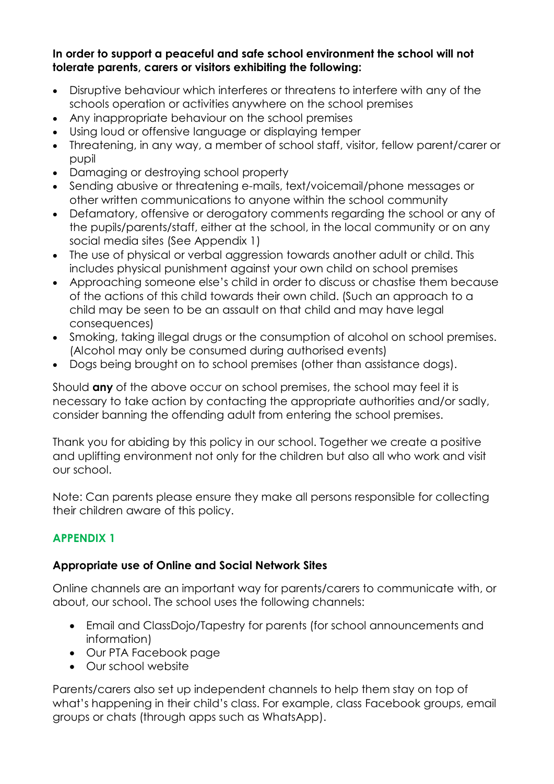#### **In order to support a peaceful and safe school environment the school will not tolerate parents, carers or visitors exhibiting the following:**

- Disruptive behaviour which interferes or threatens to interfere with any of the schools operation or activities anywhere on the school premises
- Any inappropriate behaviour on the school premises
- Using loud or offensive language or displaying temper
- Threatening, in any way, a member of school staff, visitor, fellow parent/carer or pupil
- Damaging or destroying school property
- Sending abusive or threatening e-mails, text/voicemail/phone messages or other written communications to anyone within the school community
- Defamatory, offensive or derogatory comments regarding the school or any of the pupils/parents/staff, either at the school, in the local community or on any social media sites (See Appendix 1)
- The use of physical or verbal aggression towards another adult or child. This includes physical punishment against your own child on school premises
- Approaching someone else's child in order to discuss or chastise them because of the actions of this child towards their own child. (Such an approach to a child may be seen to be an assault on that child and may have legal consequences)
- Smoking, taking illegal drugs or the consumption of alcohol on school premises. (Alcohol may only be consumed during authorised events)
- Dogs being brought on to school premises (other than assistance dogs).

Should **any** of the above occur on school premises, the school may feel it is necessary to take action by contacting the appropriate authorities and/or sadly, consider banning the offending adult from entering the school premises.

Thank you for abiding by this policy in our school. Together we create a positive and uplifting environment not only for the children but also all who work and visit our school.

Note: Can parents please ensure they make all persons responsible for collecting their children aware of this policy.

# **APPENDIX 1**

# **Appropriate use of Online and Social Network Sites**

Online channels are an important way for parents/carers to communicate with, or about, our school. The school uses the following channels:

- Email and ClassDojo/Tapestry for parents (for school announcements and information)
- Our PTA Facebook page
- Our school website

Parents/carers also set up independent channels to help them stay on top of what's happening in their child's class. For example, class Facebook groups, email groups or chats (through apps such as WhatsApp).